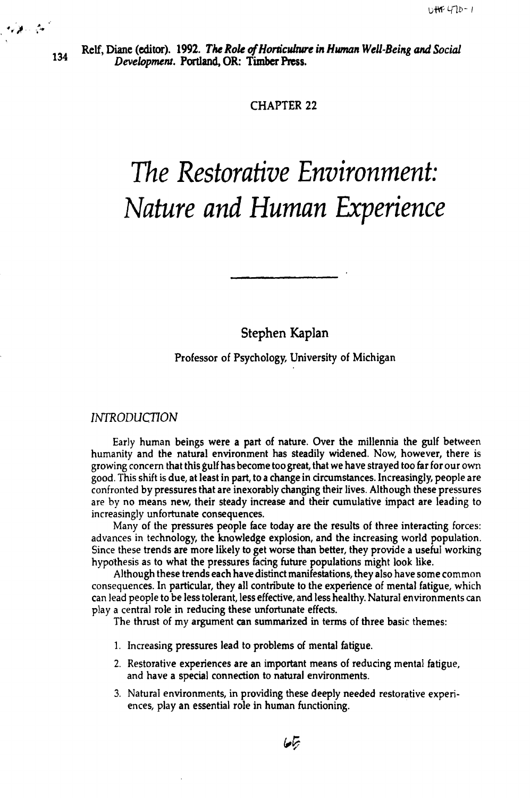$\mathcal{A}=\mathcal{A}$  .

**134** Relf, Diane (editor). **1992. The Role of Horticulture in Human Well-Being and Social <b>134** *Development.* **Portland,** *OR:* **Timber Pnss.** 

# **CHAPTER 22**

# *The Restorative Environment: Nature and Human Experience*

# **Stephen Kaplan**

Professor of Psychology, University of Michigan

## **INTRODUCTION**

Early human beings were a part of nature. Over the millennia the gulf between humanity and the natural environment has steadily widened. Now, however, there is growing concern that this gulf has become toogreat, that we have strayed too far for our own good. This shift is due, at least in part, to a change in circumstances. Increasingly, people are confronted by pressures that are inexorably changing their lives. Although these pressures are by no means new, their steady increase and their cumulative impact are leading to increasingly unfortunate consequences.

Many of the pressures people face today are the results of three interacting forces: advances in technology, the knowledge explosion, and the increasing world population. Since these trends are more likely to get worse than better, they provide a useful working hypcithesis as to what the pressures facing future populations might look like.

Although these trends each have distinct manifestations, they also have some common consequences. In particular, they all contribute to the experience of mental fatigue, which can lead people to be less tolerant, less effective, and less healthy. Natural environments can play a central role in reducing these unfortunate effects.

The thrust of my argument can summarized in terms of three basic themes:

- 1. Increasing pressures lead to problems of mental fatigue.
- 2. Restorative experiences are an important means of reducing mental fatigue, and have a special connection to natural environments.
- 3. Natural environments, in providing these deeply needed restorative experiences, play an essential role in human functioning.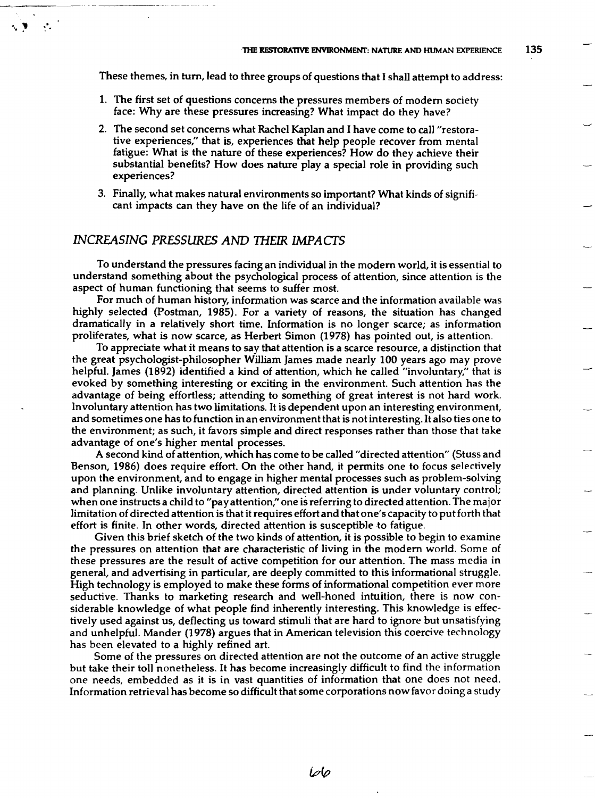**d** 

These themes, in turn, lead to three groups of questions that 1 shall attempt to address: -

- 1. The first set of questions concerns the pressures members of modem society face: Why are these pressures increasing? What impact do they have?
- 2. The second set concerns what Rachel Kaplan and I have come to call "restorative experiences," that is, experiences that help people recover from mental fatigue: What is the nature of these experiences? How do they achieve their substantial benefits? How does nature play a special role in providing such experiences?
- 3. Finally, what makes natural environments so important? What kinds of signifi-cant impacts can they have on the life of an individual? -

### *INCREASING PRESSURES AND THEIR IMPACTS*

 $\mathbf{v}^{\mathrm{in}}$  .

To understand the pressures facing an individual in the modem world, it is essential to understand something about the psychological process of attention, since attention is the aspect of human functioning that seems to suffer most.

For much of human history, information was scarce and the information available was highly selected (Postman, 1985). For a variety of reasons, the situation has changed dramatically in a relatively short time. Information is no longer scarce; as information proliferates, what is now scarce, as Herbert Simon (1978) has pointed out, is attention.

To appreciate what it means to say that attention is a scarce resource, a distinction that the great psychologist-philosopher William James made nearly 100 years ago may prove helpful. James (1892) identified a kind of attention, which he called "involuntary," that is evoked by something interesting or exciting in the environment. Such attention has the advantage of being effortless; attending to something of great interest is not hard work. Involuntary attention has two limitations. It is dependent upon an interesting environment, and sometimes one has to function in an environment that is not interesting. It also ties one to the environment; as such, it favors simple and direct responses rather than those that take advantage of one's higher mental processes.

A second kind of attention, which has come to be called "directed attention" (Stuss and Benson, 1986) does require effort. On the other hand, it permits one to focus selectively upon the environment, and to engage in higher mental processes such as problem-solving and planning. Unlike involuntary attention, directed attention is under voluntary control; when one instructs a child to "pay attention," one is referring to directed attention. The major limitation of directed attention is that it requires effort and that one's capacity to put forth that effort is finite. In other words, directed attention is susceptible to fatigue.

Given this brief sketch of the two kinds of attention, it is possible to begin to examine the pressures on attention that are characteristic of living in the modem world. Some of these pressures are the result of active competition for our attention. The mass media in general, and advertising in particular, are deeply committed to this informational struggle. High technology is employed to make these forms of informational competition ever more seductive. Thanks to marketing research and well-honed intuition, there is now considerable knowledge of what people find inherently interesting. This knowledge is effectively used against us, deflecting us toward stimuli that are hard to ignore but unsatisfying and unhelpful. Mander (1978) argues that in American television this coercive technology has been elevated to a highly refined art.

Some of the pressures on directed attention are not the outcome of an active struggle but take their toll nonetheless. It has become increasingly difficult to find the information one needs, embedded as it is in vast quantities of information that one does not need. Information retrieval has become so difficult that some corporations now favor doing a study

66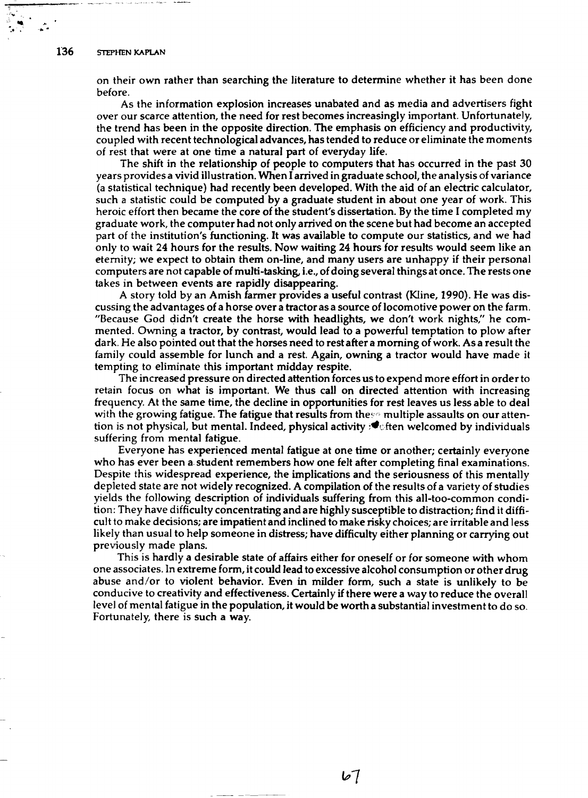#### **STEPHEN KAPLAN**

on their own rather than searching the literature to determine whether it has been done before.

As the information explosion increases unabated and as media and advertisers fight over our scarce attention, the need for rest becomes increasingly important. Unfortunately, the trend has been in the opposite direction. The emphasis on efficiency and productivity, coupled with recent technological advances, has tended to reduce or eliminate the moments of rest that were at one time a natural part of everyday life.

The shift in the relationship of people to computers that has occurred in the past 30 years provides a vivid illustration. When I arrived in graduate school, the analysis of variance (a statistical technique) had recently been developed. With the aid of an electric calculator, such a statistic could be computed by a graduate student in about one year of work. This heroic effort then became the core of the student's dissertation. By the time I completed my graduate work, the computer had not only arrived on the scene but had become an accepted part of the institution's functioning. It was available to compute our statistics, and we had only to wait 24 hours for the results. Now waiting 24 hours for results would seem like an eternity; we expect to obtain them on-line, and many users are unhappy if their personal computers are not capable of multi-tasking, i.e., of doing several things at once. The rests one takes in between events are rapidly disappearing.

A story told by an Amish farmer provides a useful contrast (Kline, 1990). He was discussing the advantages of a horse over a tractor asa source of locomotive power on the farm. "Because God didn't create the horse with headlights, we don't work nights," he commented. Owning a tractor, by contrast, would lead to a powerful temptation to plow after dark. He also pointed out that the horses need to rest after a morning of work. As a result the family could assemble for lunch and a rest. Again, owning a tractor would have made it tempting to eliminate this important midday respite.

The increased pressure on directed attention forces us to expend more effort in order to retain focus on what is important. We thus call on directed attention with increasing frequency. At the same time, the decline in opportunities for rest leaves us less able to deal with the growing fatigue. The fatigue that results from the  $\sim$  multiple assaults on our attention is not physical, but mental. Indeed, physical activity  $\blacktriangleright$  ften welcomed by individuals suffering from mental fatigue.

Everyone has experienced mental fatigue at one time or another; certainly everyone who has ever been a student remembers how one felt after completing final examinations. Despite this widespread experience, the implications and the seriousness of this mentally depleted state are not widely recognized. A compilation of the results of a variety of studies yields the following description of individuals suffering from this all-too-common condition: They have difficulty concentrating and are highly susceptible to distraction; find it difficult to make decisions; are impatient and inclined to make risky choices; are irritable and less likely than usual to help someone in distress; have difficulty either planning or carrying out previously made plans.

This is hardly a desirable state of affairs either for oneself or for someone with whom one associates. In extreme form, it could lead to excessive alcohol consumption or other drug abuse and/or to violent behavior. Even in milder form, such a state is unlikely to be conducive to creativity and effectiveness. Certainly if there were a way to reduce the overall level of mental fatigue in the population, it would be worth a substantial investment to do so. Fortunately, there is such a way.

اسنا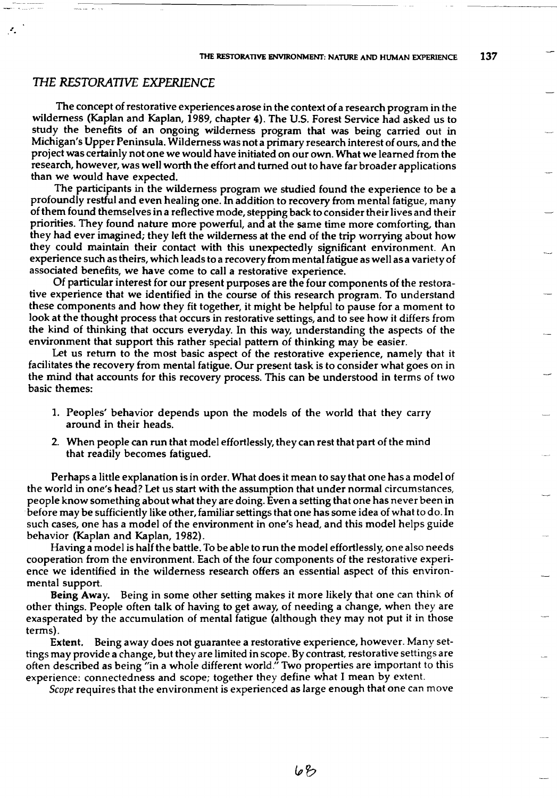137

# **THE RESTORATIVE EXPERIENCE -**

 $\mathcal{L}_\mathrm{c}$ 

The concept of restorative experiences arose in the context of a research program in the wilderness (Kaplan and Kaplan, 1989, chapter 4). The **U.S.** Forest Service had asked us to study the benefits of an ongoing wilderness program that was being carried out in Michigan's Upper Peninsula. Wilderness was not a primary research interest of ours, and the project was certainly not one we would have initiated on our own. What we learned from the research, however, was well worth the effort and turned out to have far broader applications than we would have expected.

The participants in the wilderness program we studied found the experience to be a profoundly restful and even healing one. In addition to recovery from mental fatigue, many of them found themselves in a reflective mode, stepping back to consider their lives and their priorities. They found nature more powerful, and at the same time more comforting, than they had ever imagined; they left the wilderness at the end of the trip worrying about how they could maintain their contact with this unexpectedly significant environment. An experience such as theirs, which leads to a recovery from mental fatigue as well asa variety of associated benefits, we have come to call a restorative experience.

Of particular interest for our present purposes are the four components of the restarative experience that we identified in the course of this research program. To understand these components and how they fit together, it might be helpful to pause for a moment to look at the thought process that occurs in restorative settings, and to see how it differs from the kind of thinking that occurs everyday. In this way, understanding the aspects of the environment that support this rather special pattern of thinking may be easier.

Let us return to the most basic aspect of the restorative experience, namely that it facilitates the recovery from mental fatigue. Our present task is to consider what goes on in the mind that accounts for this recovery process. This can be understood in terms of two basic themes:

- 1. Peoples' behavior depends upon the models of the world that they carry around in their heads.
- 2. When people can run that model effortlessly, they can rest that part of the mind that readily becomes fatigued.

Perhaps a little explanation is in order. What does it mean to say that one has a model of the world in one's head? Let us start with the assumption that under normal circumstances, people know something about what they are doing. Even a setting that one has never been in before may be sufficiently like other, familiar settings that one has some idea of what to do. In such cases, one has a model of the environment in one's head, and this model helps guide behavior (Kaplan and Kaplan, 1982).

Havinga model is half the battle. To be able to run the model effortlessly, one also needs cooperation from the environment. Each of the four components of the restorative experience we identified in the wilderness research offers an essential aspect of this environmental support.

Being Away. Being in some other setting makes it more likely that one can think of other things. People often talk of having to get away, of needing a change, when they are exasperated by the accumulation of mental fatigue (although they may not put it in those terms).

Extent. Being away does not guarantee a restorative experience, however. Many settings may provide a change, but they are limited in scope. By contrast, restorative settings are often described as being "in a whole different world." Two properties are important to this experience: connectedness and scope; together they define what I mean by extent.

Scope requires that the environment is experienced as large enough that one can move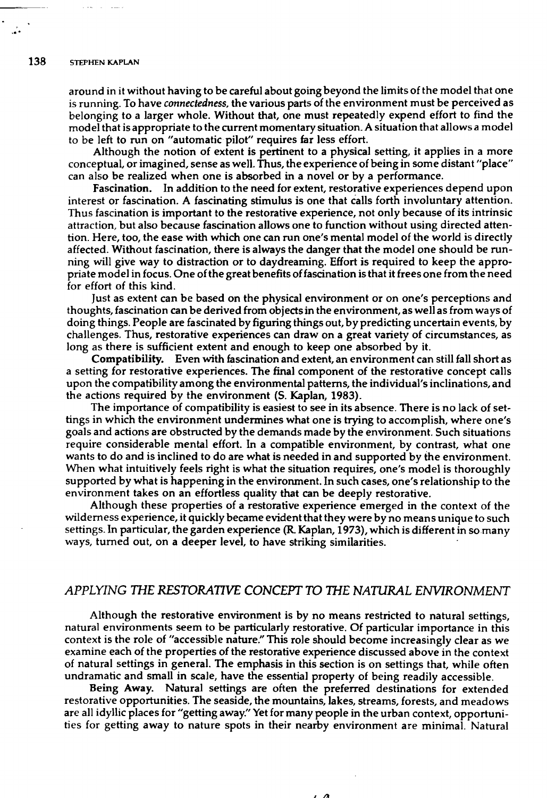#### STEPHEN KAPLAN

around in it without having to be careful about going beyond the limits of the model that one is running. To have *connectedness,* the various parts of the environment must be perceived as belonging to a larger whole. Without that, one must repeatedly expend effort to find the model that isappropriate to the current momentary situation. A situation that allows a model to be left to run on "automatic pilot" requires far less effort.

Although the notion of extent is pertinent to a physical setting, it applies in a more conceptual, or imagined, sense as well. Thus, the experience of being in some distant "place" can also be realized when one is absorbed in a novel or by a performance.

Fascination. In addition to the need for extent, restorative experiences depend upon interest or fascination. A fascinating stimulus is one that calls forth involuntary attention. Thus fascination is important to the restorative experience, not only because of its intrinsic attraction, but also because fascination allows one to function without using directed attention. Here, too, the ease with which one can run one's mental model of the world is directly affected. Without fascination, there is always the danger that the model one should be running will give way to distraction or to daydreaming. Effort is required to keep the appropriate model in focus. One of the great benefits of fascination is that it frees one from the need for effort of this kind.

Just as extent can be based on the physical environment or on one's perceptions and thoughts, fascination can be derived from objedsin the environment, as well as from ways of doing things. People are fascinated by figuring things out, by predicting uncertain events, by challenges. Thus, restorative experiences can draw on a great variety of circumstances, as long as there is sufficient extent and enough to keep one absorbed by it.

Compatibility. Even with fascination and extent, an environment can still fall short as a setting for restorative experiences. The final component of the restorative concept calls upon the compatibility among the environmental patterns, the individual's inclinations, and the actions required by the environment (S. Kaplan, **1983).** 

The importance of compatibility is easiest to see in its absence. There is no lack of settings in which the environment undermines what one is trying to accomplish, where one's goals and actions are obstructed by the demands made by the environment. Such situations require considerable mental effort. In a compatible environment, by contrast, what one wants to do and is inclined to do are what is needed in and supported by the environment. When what intuitively feels right is what the situation requires, one's model is thoroughly supported by what is happening in the environment. In such cases, one's relationship to the environment takes on an effortless quality that can be deeply restorative,

Although these properties of a restorative experience emerged in the context of the wilderness experience, it quickly became evident that they were by no means unique to such settings. In particular, the garden experience (R. Kaplan, **1973),** which is different in so many ways, turned out, on a deeper level, to have striking similarities.

### APPLYING THE RESTORATIVE CONCEPT TO *7HE* NATURAL ENVIRONMENT

Although the restorative environment is by no means restricted to natural settings, natural environments seem to be particularly restorative. Of particular importance in this context is the role of "accessible nature." This role should become increasingly clear as we examine each of the properties of the restorative experience discussed above in the context of natural settings in general. The emphasis in this section is on settings that, while often undramatic and small in scale, have the essential property of being readily accessible.

Being Away. Natural settings are often the preferred destinations for extended restorative opportunities. The seaside, the mountains, lakes, streams, forests, and meadows are all idyllic places for "getting away." Yet for many people in the urban context, opportunities for getting away to nature spots in their nearby environment are minimal. Natural

 $\mathcal{L}$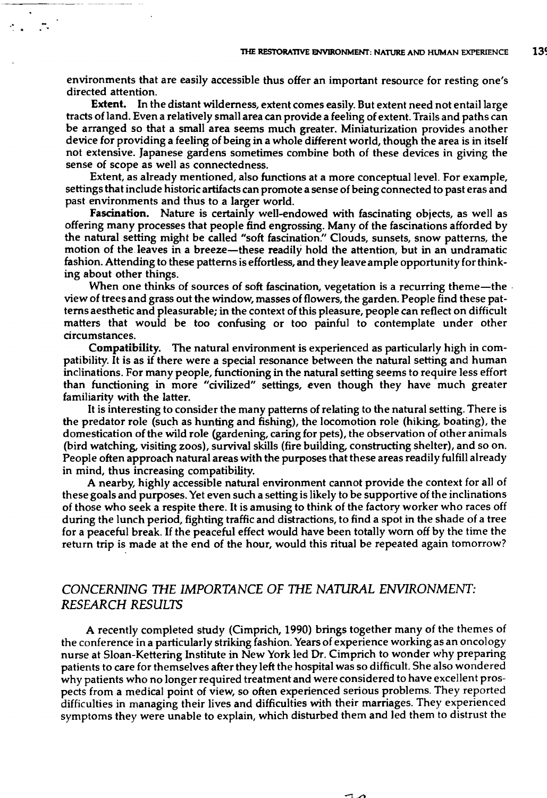environments that are easily accessible thus offer an important resource for resting one's directed attention.

**Extent.** In the distant wilderness, extent comes easily. But extent need not entail large tracts of land. Even a relatively small area can provide a feeling of extent. Trails and paths can be arranged so that a small area seems much greater. Miniaturization provides another device for providing a feeling of being in a whole different world, though the area is in itself not extensive. Japanese gardens sometimes combine both of these devices in giving the sense of scope as well as connectedness.

Extent, as already mentioned, also functions at a more conceptual level. For example, settings that include historic artifacts can promote a sense of being connected to past eras and past environments and thus to a larger world.

**Fascination.** Nature is certainly well-endowed with fascinating objects, as well as offering many processes that people find engrossing. Many of the fascinations afforded by the natural setting might be called "soft fascination." Clouds, sunsets, snow patterns, the motion of the leaves in a breeze—these readily hold the attention, but in an undramatic fashion. Attending to these patterns is effortless, and they leaveample opportunity for thinking about other things.

When one thinks of sources of soft fascination, vegetation is a recurring theme—the  $\cdot$ view of trees and grass out the window, masses of flowers, the garden. People find these patterns aesthetic and pleasurable; in the context of this pleasure, people can reflect on difficult matters that would be too confusing or too painful to contemplate under other circumstances.

Compatibility. The natural environment is experienced as particularly high in compatibility. It is as if there were a special resonance between the natural setting and human inclinations. For many people, functioning in the natural setting seems to require less effort than functioning in more "civilized" settings, even though they have much greater familiarity with the latter.

It is interesting to consider the many patterns of relating to the natural setting. There is the predator role (such as hunting and fishing), the locomotion role (hiking, boating), the domestication of the wild role (gardening, caring for pets), the observation of other animals (bird watching, visiting zoos), survival skills (fire building, constructing shelter), and so on. People often approach natural areas with the purposes that these areas readily fulfill already in mind, thus increasing compatibility.

A nearby, highly accessible natural environment cannot provide the context for all of these goals and purposes. Yet even such a setting is likely to be supportive of the inclinations of those who seek a respite there. It is amusing to think of the factory worker who races off during the lunch period, fighting traffic and distractions, to find a spot in the shade of a tree for a peaceful break. If the peaceful effect would have been totally worn off by the time the return trip is made at the end of the hour, would this ritual be repeated again tomorrow?

## CONCERNNG THE IMPORTANCE OF THE NATURAL ENVIRONMENT: RESEARCH RESULTS

A recently completed study (Cimprich, 1990) brings together many of the themes of the conference in a particularly striking fashion. Years of experience working as an oncology nurse at Sloan-Kettering Institute in New York led Dr. Cimprich to wonder why preparing patients to care for themselves after they left the hospital was so difficult. She also wondered why patients who no longer required treatment and were considered to have excellent prospects from a medical point of view, so often experienced serious problems. They reported difficulties in managing their lives and difficulties with their marriages. They experienced symptoms they were unable to explain, which disturbed them and led them to distrust the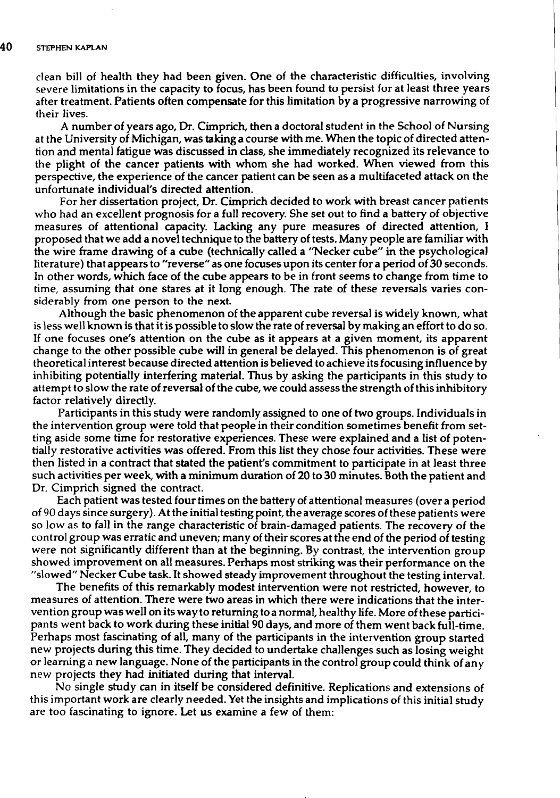clean bill of health they had been given. One of the characteristic difficulties, involving severe limitations in the capacity to focus, has been found to persist for at least three years after treatment. Patients often compensate for this limitation by a progressive narrowing of their lives.

**A** number of years ago, Dr. Cimprich, then a doctoral student in the School of Nursing at the University of Michigan, was taking a course with me. When the topic of directed attention and mental fatigue was discussed in class, she immediately recognized its relevance to the plight of the cancer patients with whom she had worked. When viewed from this perspective, the experience of the cancer patient can be seen as a multifaceted attack on the unfortunate individual's directed attention.

For her dissertation project, Dr. Cimprich decided to work with breast cancer patients who had an excellent prognosis for a full recovery. She set out to find a battery of objective measures of attentional capacity. Lacking any pure measures of directed attention, I proposed that we add a novel technique to the battery of tests. Many people are familiar with the wire frame drawing of a cube (technically called a "Necker cube" in the psychological literature) that appears to "reverse" as one focuses upon its center for a period of **30** seconds. In other words, which face of the cube appears to be in front seems to change from time to time, assuming that one stares at it long enough. The rate of these reversals varies considerably from one person to the next.

Although the basic phenomenon of the apparent cube reversal is widely known, what is less well known is that it is possible to slow the rate of reversal by making an effort to do so. If one focuses one's attention on the cube as it appears at a given moment, its apparent change to the other possible cube will in general be delayed. This phenomenon is of great theoretical interest because directed attention is believed to achieve its focusing influence by inhibiting potentially interfering material. Thus by asking the participants in this study to attempt to slow the rate of reversal of the cube, we could assess the strength of this inhibitory factor relatively directly.

Participants in this study were randomly assigned to one of two groups. Individuals in the intervention group were told that people in their condition sometimes benefit from setting aside some time for restorative experiences. These were explained and a list of potentially restorative activities was offered. From this list they chose four activities. These were then listed in a contract that stated the patient's commitment to participate in at least three such activities per week, with a minimum duration of **20** to **30** minutes. Both the patient and Dr. Cimprich signed the contract.

Each patient was tested four times on the battery of attentional measures (over a period of 90 days since surgery). At the initial testing point, the average scores of these patients were so low as to fall in the range characteristic of brain-damaged patients. The recovery of the control group was erratic and uneven; many of their scores at the end of the period of testing were not significantly different than at the beginning. By contrast, the intervention group showed improvement on all measures. Perhaps most striking was their performance on the "slowed" Necker Cube task. It showed steady improvement throughout the testing interval.

The benefits of this remarkably modest intervention were not restricted, however, to measures of attention. There were two areas in which there were indications that the intervention group was well on its way to returning toa normal, healthy life. More of these participants went back to work during these initial 90 days, and more of them went back full-time. Perhaps most fascinating of all, many of the participants in the intervention group started new projects during this time. They decided to undertake challenges such as losing weight or learning a new language. None of the participants in the control group could think of any new projects they had initiated during that interval.

No single study can in itself be considered definitive. Replications and extensions of this important work are clearly needed. Yet the insights and implications of this initial study are too fascinating to ignore. Let us examine a few of them: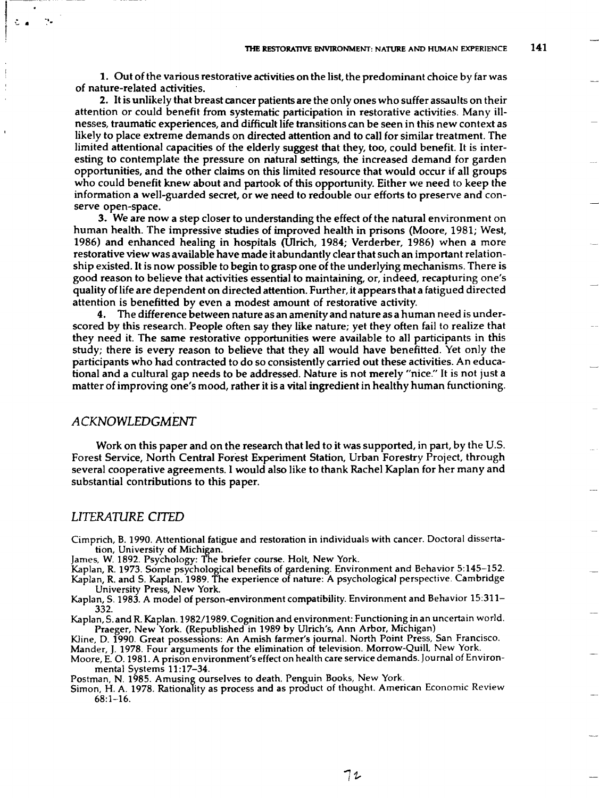1. Out of the various restorative activities on the list, the predominant choice by far was of nature-related activities.

2. It is unlikely that breast cancer patients are the only ones who suffer assaults on their attention or could benefit from systematic participation in restorative activities. Many illnesses, traumatic experiences, and difficult life transitions can be seen in this new context as likely to place extreme demands on directed attention and to call for similar treatment. The limited attentional capacities of the elderly suggest that they, too, could benefit. It is interesting to contemplate the pressure on natural settings, the increased demand for garden opportunities, and the other claims on this limited resource that would occur if all groups who could benefit knew about and partook of this opportunity. Either we need to keep the information a well-guarded secret, or we need to redouble our efforts to preserve and conserve open-space.

3. We are now a step closer to understanding the effect of the natural environment on human health. The impressive studies of improved health in prisons (Moore, **1981;** West, **1986)** and enhanced healing in hospitals (Ulrich, **1984;** Verderber, **1986)** when a more restorative view was available have made it abundantly clear that such an important relationship existed. It is now possible to begin to grasp one of the underlying mechanisms. There is good reason to believe that activities essential to maintaining, or, indeed, recapturing one's quality of life are dependent on directed attention. Further, it appears that a fatigued directed attention is benefitted by even a modest amount of restorative activity.

**4.** The difference between nature as an amenity and nature as a human need is underscored by this research. People often say they like nature; yet they often fail to realize that they need it. The same restorative opportunities were available to all participants in this study; there is every reason to believe that they all would have benefitted. Yet only the participants who had contracted to do so consistently carried out these activities. An educational and a cultural gap needs to be addressed. Nature is not merely "nice." It is not just a matter of improving one's mood, rather it is a vital ingredient in healthy human functioning.

### *ACKNOWLEDGMENT*

 $\ddot{\mathbf{c}}$  and

Work on this paper and on the research that led to it was supported, in part, by the U.S. Forest Service, North Central Forest Experiment Station, Urban Forestry Project, through several cooperative agreements. I would also like to thank Rachel Kaplan for her many and substantial contributions to this paper.

### *LIERATURE* **CITED**

Cimprich, B. **1990.** Attentional fatigue and restoration in individuals with cancer. Doctoral dissertation, University of Michigan.

James, W. 1892. Psychology: The briefer course. Holt, New York.

Kaplan, R. **1973.** Some psychological benefits of gardening. Environment and Behavior **5:145-152.** 

Kaplan, R. and S. Kaplan. **1989.** The experience **of** nature: A psychological perspective. Cambridge University Press, New York

Kaplan, S. 1983. A model of person-environment compatibility. Environment and Behavior 15:311–<br>332.

Kaplan, S. and R. Kaplan. **1982/1989.** Cognition and environment: Functioning in an uncertain world. Praeger, New York. (Republished in **1989** by Ulrich's, Ann Arbor, Michigan)

Kline, D. **1990.** Great possessions: An Amish farmer's journal. North Point Press, San Francisco.

Mander, J. **1978.** Four arguments for the elimination of television. Morrow-Quill, New York.

Moore, E. **0.1981. A** prison environment's effect on health care service demands. Journal of Environmental Systems **11:17-34.** 

Postman, N. 1985. Amusing ourselves to death. Penguin Books, New York.

Simon, H. A. **1978.** Rationafity as process and as product of thought. American Economic Review **68:l-16.** 

141